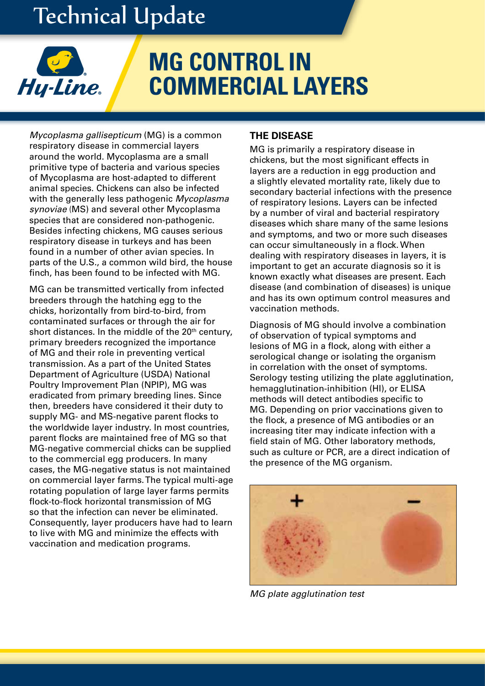# Technical Update



# **MG CONTROL IN COMMERCIAL LAYERS**

*Mycoplasma gallisepticum* (MG) is a common respiratory disease in commercial layers around the world. Mycoplasma are a small primitive type of bacteria and various species of Mycoplasma are host-adapted to different animal species. Chickens can also be infected with the generally less pathogenic *Mycoplasma synoviae* (MS) and several other Mycoplasma species that are considered non-pathogenic. Besides infecting chickens, MG causes serious respiratory disease in turkeys and has been found in a number of other avian species. In parts of the U.S., a common wild bird, the house finch, has been found to be infected with MG.

MG can be transmitted vertically from infected breeders through the hatching egg to the chicks, horizontally from bird-to-bird, from contaminated surfaces or through the air for short distances. In the middle of the  $20<sup>th</sup>$  century, primary breeders recognized the importance of MG and their role in preventing vertical transmission. As a part of the United States Department of Agriculture (USDA) National Poultry Improvement Plan (NPIP), MG was eradicated from primary breeding lines. Since then, breeders have considered it their duty to supply MG- and MS-negative parent flocks to the worldwide layer industry. In most countries, parent flocks are maintained free of MG so that MG-negative commercial chicks can be supplied to the commercial egg producers. In many cases, the MG-negative status is not maintained on commercial layer farms. The typical multi-age rotating population of large layer farms permits flock-to-flock horizontal transmission of MG so that the infection can never be eliminated. Consequently, layer producers have had to learn to live with MG and minimize the effects with vaccination and medication programs.

# **THE DISEASE**

MG is primarily a respiratory disease in chickens, but the most significant effects in layers are a reduction in egg production and a slightly elevated mortality rate, likely due to secondary bacterial infections with the presence of respiratory lesions. Layers can be infected by a number of viral and bacterial respiratory diseases which share many of the same lesions and symptoms, and two or more such diseases can occur simultaneously in a flock. When dealing with respiratory diseases in layers, it is important to get an accurate diagnosis so it is known exactly what diseases are present. Each disease (and combination of diseases) is unique and has its own optimum control measures and vaccination methods.

Diagnosis of MG should involve a combination of observation of typical symptoms and lesions of MG in a flock, along with either a serological change or isolating the organism in correlation with the onset of symptoms. Serology testing utilizing the plate agglutination, hemagglutination-inhibition (HI), or ELISA methods will detect antibodies specific to MG. Depending on prior vaccinations given to the flock, a presence of MG antibodies or an increasing titer may indicate infection with a field stain of MG. Other laboratory methods, such as culture or PCR, are a direct indication of the presence of the MG organism.



*MG plate agglutination test*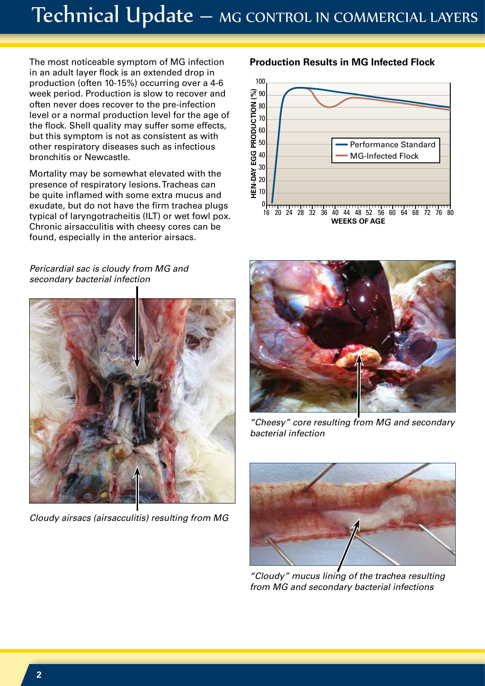# Technical Update – MG CONTROL IN COMMERCIAL LAYERS

The most noticeable symptom of MG infection in an adult layer flock is an extended drop in production (often 10-15%) occurring over a 4-6 week period. Production is slow to recover and often never does recover to the pre-infection level or a normal production level for the age of the flock. Shell quality may suffer some effects, but this symptom is not as consistent as with other respiratory diseases such as infectious bronchitis or Newcastle.

Mortality may be somewhat elevated with the presence of respiratory lesions. Tracheas can be quite inflamed with some extra mucus and exudate, but do not have the firm trachea plugs typical of laryngotracheitis (ILT) or wet fowl pox. Chronic airsacculitis with cheesy cores can be found, especially in the anterior airsacs.

# *Pericardial sac is cloudy from MG and secondary bacterial infection*



*Cloudy airsacs (airsacculitis) resulting from MG*

## **Production Results in MG Infected Flock**





*"Cheesy" core resulting from MG and secondary bacterial infection*



*"Cloudy" mucus lining of the trachea resulting from MG and secondary bacterial infections*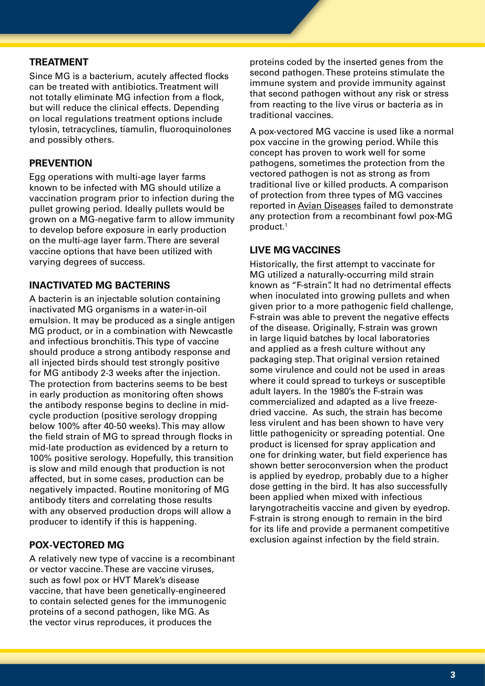#### **PREATMENT**

Since MG is a bacterium, acutely affected flocks can be treated with antibiotics. Treatment will not totally eliminate MG infection from a flock, but will reduce the clinical effects. Depending on local regulations treatment options include tylosin, tetracyclines, tiamulin, fluoroquinolones and possibly others.

## **PREVENTION**

Egg operations with multi-age layer farms known to be infected with MG should utilize a vaccination program prior to infection during the pullet growing period. Ideally pullets would be grown on a MG-negative farm to allow immunity to develop before exposure in early production on the multi-age layer farm. There are several vaccine options that have been utilized with varying degrees of success.

## **INACTIVATED MG BACTERINS**

A bacterin is an injectable solution containing inactivated MG organisms in a water-in-oil emulsion. It may be produced as a single antigen MG product, or in a combination with Newcastle and infectious bronchitis. This type of vaccine should produce a strong antibody response and all injected birds should test strongly positive for MG antibody 2-3 weeks after the injection. The protection from bacterins seems to be best in early production as monitoring often shows the antibody response begins to decline in midcycle production (positive serology dropping below 100% after 40-50 weeks). This may allow the field strain of MG to spread through flocks in mid-late production as evidenced by a return to 100% positive serology. Hopefully, this transition is slow and mild enough that production is not affected, but in some cases, production can be negatively impacted. Routine monitoring of MG antibody titers and correlating those results with any observed production drops will allow a producer to identify if this is happening.

#### **POX-VECTORED MG**

A relatively new type of vaccine is a recombinant or vector vaccine. These are vaccine viruses, such as fowl pox or HVT Marek's disease vaccine, that have been genetically-engineered to contain selected genes for the immunogenic proteins of a second pathogen, like MG. As the vector virus reproduces, it produces the

proteins coded by the inserted genes from the second pathogen. These proteins stimulate the immune system and provide immunity against that second pathogen without any risk or stress from reacting to the live virus or bacteria as in traditional vaccines.

A pox-vectored MG vaccine is used like a normal pox vaccine in the growing period. While this concept has proven to work well for some pathogens, sometimes the protection from the vectored pathogen is not as strong as from traditional live or killed products. A comparison of protection from three types of MG vaccines reported in Avian Diseases failed to demonstrate any protection from a recombinant fowl pox-MG product.1

### **LIVE MG VACCINES**

Historically, the first attempt to vaccinate for MG utilized a naturally-occurring mild strain known as "F-strain". It had no detrimental effects when inoculated into growing pullets and when given prior to a more pathogenic field challenge, F-strain was able to prevent the negative effects of the disease. Originally, F-strain was grown in large liquid batches by local laboratories and applied as a fresh culture without any packaging step. That original version retained some virulence and could not be used in areas where it could spread to turkeys or susceptible adult layers. In the 1980's the F-strain was commercialized and adapted as a live freezedried vaccine. As such, the strain has become less virulent and has been shown to have very little pathogenicity or spreading potential. One product is licensed for spray application and one for drinking water, but field experience has shown better seroconversion when the product is applied by eyedrop, probably due to a higher dose getting in the bird. It has also successfully been applied when mixed with infectious laryngotracheitis vaccine and given by eyedrop. F-strain is strong enough to remain in the bird for its life and provide a permanent competitive exclusion against infection by the field strain.